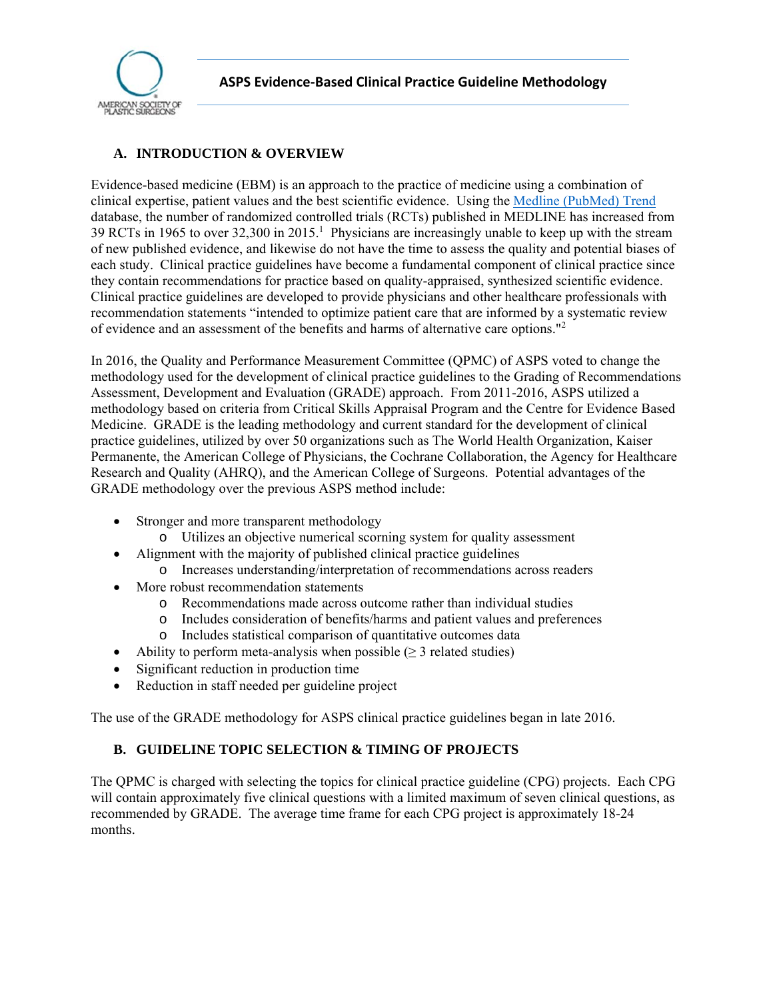

# **A. INTRODUCTION & OVERVIEW**

Evidence-based medicine (EBM) is an approach to the practice of medicine using a combination of clinical expertise, patient values and the best scientific evidence. Using the [Medline \(PubMed\) Trend](http://dan.corlan.net/medline-trend.html) database, the number of randomized controlled trials (RCTs) published in MEDLINE has increased from 39 RCTs in 1965 to over 32,300 in 2015.<sup>1</sup> Physicians are increasingly unable to keep up with the stream of new published evidence, and likewise do not have the time to assess the quality and potential biases of each study. Clinical practice guidelines have become a fundamental component of clinical practice since they contain recommendations for practice based on quality-appraised, synthesized scientific evidence. Clinical practice guidelines are developed to provide physicians and other healthcare professionals with recommendation statements "intended to optimize patient care that are informed by a systematic review of evidence and an assessment of the benefits and harms of alternative care options."<sup>2</sup>

In 2016, the Quality and Performance Measurement Committee (QPMC) of ASPS voted to change the methodology used for the development of clinical practice guidelines to the Grading of Recommendations Assessment, Development and Evaluation (GRADE) approach. From 2011-2016, ASPS utilized a methodology based on criteria from Critical Skills Appraisal Program and the Centre for Evidence Based Medicine. GRADE is the leading methodology and current standard for the development of clinical practice guidelines, utilized by over 50 organizations such as The World Health Organization, Kaiser Permanente, the American College of Physicians, the Cochrane Collaboration, the Agency for Healthcare Research and Quality (AHRQ), and the American College of Surgeons. Potential advantages of the GRADE methodology over the previous ASPS method include:

- Stronger and more transparent methodology
	- o Utilizes an objective numerical scorning system for quality assessment
	- Alignment with the majority of published clinical practice guidelines
		- o Increases understanding/interpretation of recommendations across readers
- More robust recommendation statements
	- o Recommendations made across outcome rather than individual studies
	- o Includes consideration of benefits/harms and patient values and preferences
	- o Includes statistical comparison of quantitative outcomes data
- Ability to perform meta-analysis when possible  $(\geq 3 \text{ related studies})$
- Significant reduction in production time
- Reduction in staff needed per guideline project

The use of the GRADE methodology for ASPS clinical practice guidelines began in late 2016.

# **B. GUIDELINE TOPIC SELECTION & TIMING OF PROJECTS**

The QPMC is charged with selecting the topics for clinical practice guideline (CPG) projects. Each CPG will contain approximately five clinical questions with a limited maximum of seven clinical questions, as recommended by GRADE. The average time frame for each CPG project is approximately 18-24 months.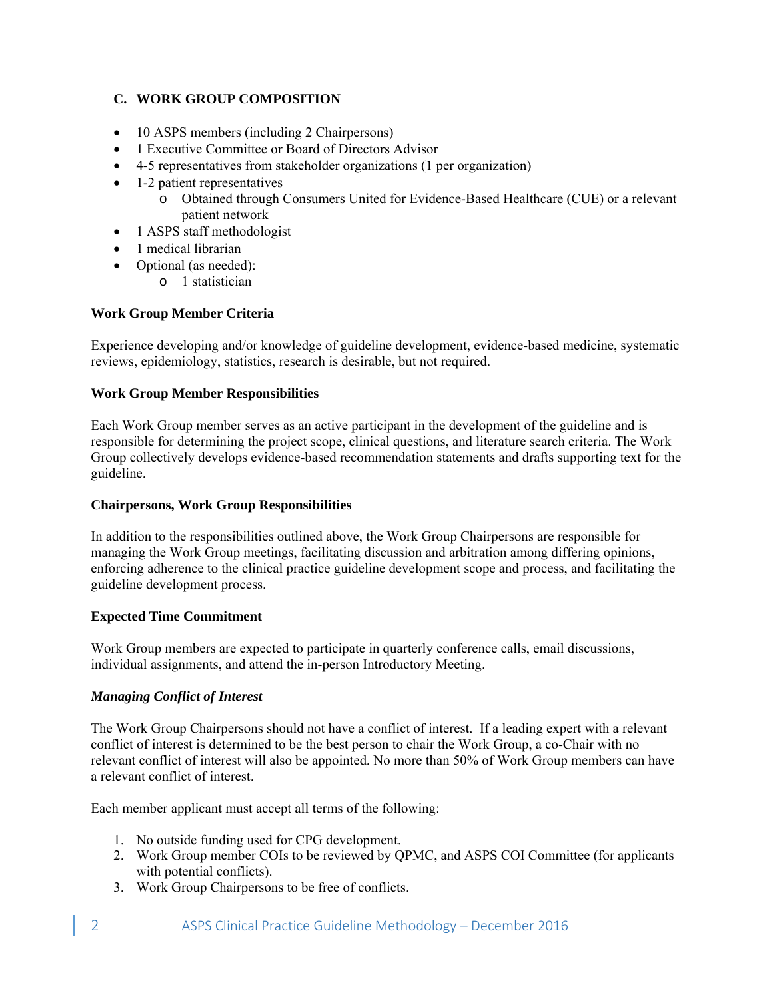# **C. WORK GROUP COMPOSITION**

- 10 ASPS members (including 2 Chairpersons)
- 1 Executive Committee or Board of Directors Advisor
- 4-5 representatives from stakeholder organizations (1 per organization)
- 1-2 patient representatives
	- o Obtained through Consumers United for Evidence-Based Healthcare (CUE) or a relevant patient network
- 1 ASPS staff methodologist
- 1 medical librarian
- Optional (as needed): o 1 statistician

# **Work Group Member Criteria**

Experience developing and/or knowledge of guideline development, evidence-based medicine, systematic reviews, epidemiology, statistics, research is desirable, but not required.

# **Work Group Member Responsibilities**

Each Work Group member serves as an active participant in the development of the guideline and is responsible for determining the project scope, clinical questions, and literature search criteria. The Work Group collectively develops evidence-based recommendation statements and drafts supporting text for the guideline.

### **Chairpersons, Work Group Responsibilities**

In addition to the responsibilities outlined above, the Work Group Chairpersons are responsible for managing the Work Group meetings, facilitating discussion and arbitration among differing opinions, enforcing adherence to the clinical practice guideline development scope and process, and facilitating the guideline development process.

# **Expected Time Commitment**

Work Group members are expected to participate in quarterly conference calls, email discussions, individual assignments, and attend the in-person Introductory Meeting.

# *Managing Conflict of Interest*

The Work Group Chairpersons should not have a conflict of interest. If a leading expert with a relevant conflict of interest is determined to be the best person to chair the Work Group, a co-Chair with no relevant conflict of interest will also be appointed. No more than 50% of Work Group members can have a relevant conflict of interest.

Each member applicant must accept all terms of the following:

- 1. No outside funding used for CPG development.
- 2. Work Group member COIs to be reviewed by QPMC, and ASPS COI Committee (for applicants with potential conflicts).
- 3. Work Group Chairpersons to be free of conflicts.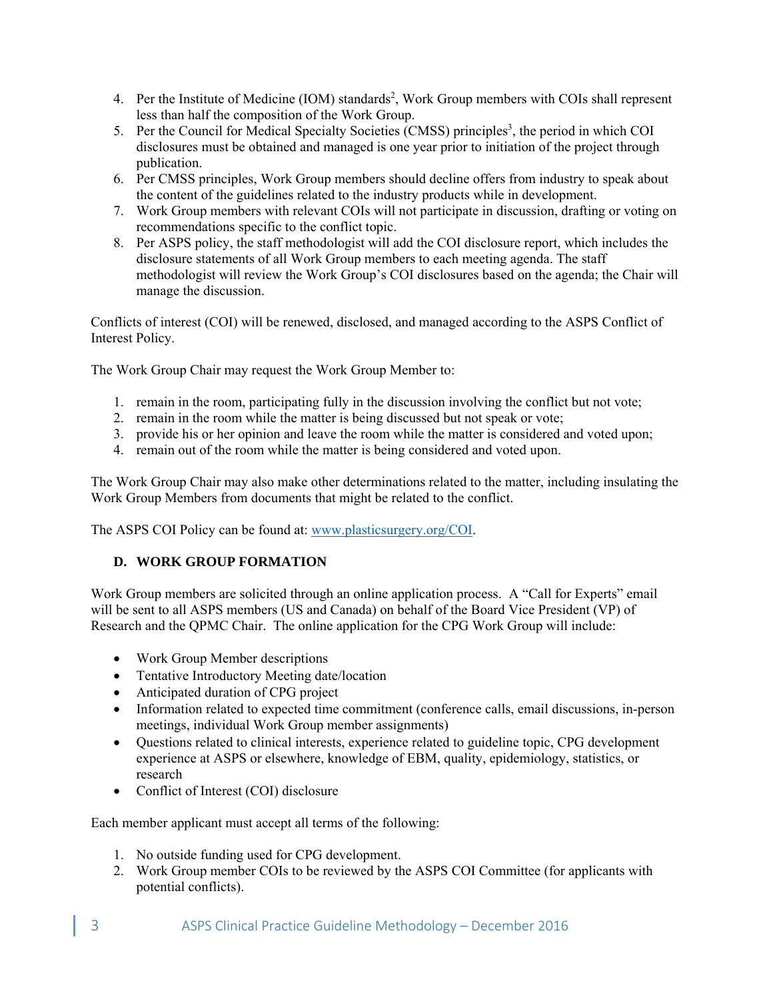- 4. Per the Institute of Medicine (IOM) standards<sup>2</sup>, Work Group members with COIs shall represent less than half the composition of the Work Group.
- 5. Per the Council for Medical Specialty Societies (CMSS) principles<sup>3</sup>, the period in which COI disclosures must be obtained and managed is one year prior to initiation of the project through publication.
- 6. Per CMSS principles, Work Group members should decline offers from industry to speak about the content of the guidelines related to the industry products while in development.
- 7. Work Group members with relevant COIs will not participate in discussion, drafting or voting on recommendations specific to the conflict topic.
- 8. Per ASPS policy, the staff methodologist will add the COI disclosure report, which includes the disclosure statements of all Work Group members to each meeting agenda. The staff methodologist will review the Work Group's COI disclosures based on the agenda; the Chair will manage the discussion.

Conflicts of interest (COI) will be renewed, disclosed, and managed according to the ASPS Conflict of Interest Policy.

The Work Group Chair may request the Work Group Member to:

- 1. remain in the room, participating fully in the discussion involving the conflict but not vote;
- 2. remain in the room while the matter is being discussed but not speak or vote;
- 3. provide his or her opinion and leave the room while the matter is considered and voted upon;
- 4. remain out of the room while the matter is being considered and voted upon.

The Work Group Chair may also make other determinations related to the matter, including insulating the Work Group Members from documents that might be related to the conflict.

The ASPS COI Policy can be found at: www.plasticsurgery.org/COI.

# **D. WORK GROUP FORMATION**

Work Group members are solicited through an online application process. A "Call for Experts" email will be sent to all ASPS members (US and Canada) on behalf of the Board Vice President (VP) of Research and the QPMC Chair. The online application for the CPG Work Group will include:

- Work Group Member descriptions
- Tentative Introductory Meeting date/location
- Anticipated duration of CPG project
- Information related to expected time commitment (conference calls, email discussions, in-person meetings, individual Work Group member assignments)
- Questions related to clinical interests, experience related to guideline topic, CPG development experience at ASPS or elsewhere, knowledge of EBM, quality, epidemiology, statistics, or research
- Conflict of Interest (COI) disclosure

Each member applicant must accept all terms of the following:

- 1. No outside funding used for CPG development.
- 2. Work Group member COIs to be reviewed by the ASPS COI Committee (for applicants with potential conflicts).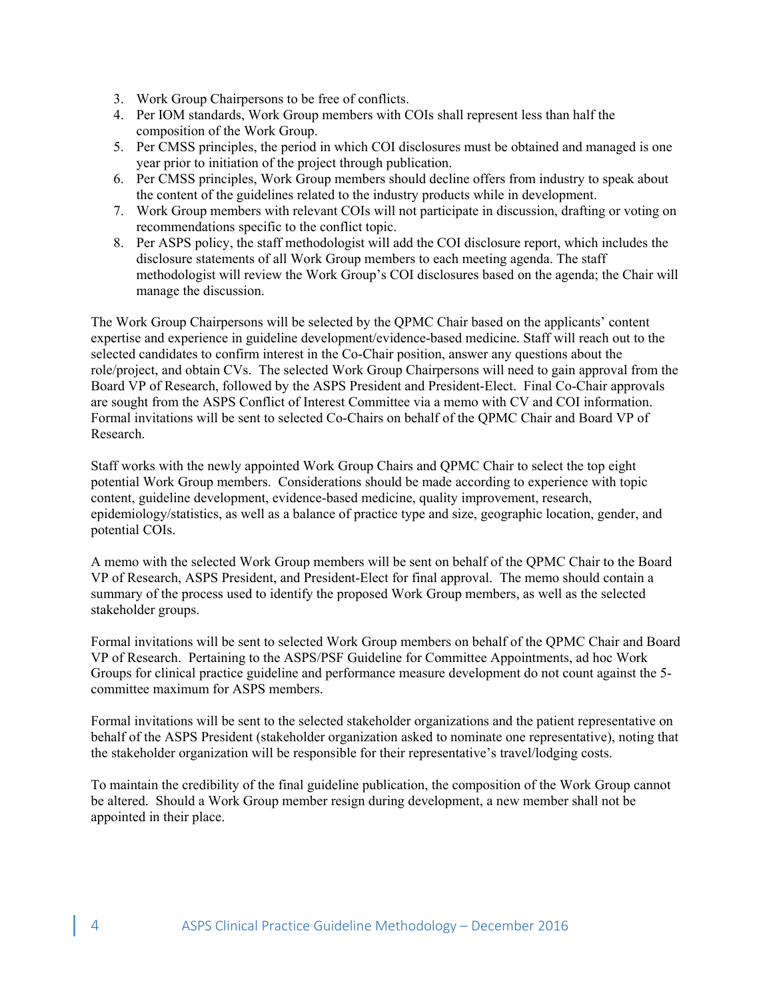- 3. Work Group Chairpersons to be free of conflicts.
- 4. Per IOM standards, Work Group members with COIs shall represent less than half the composition of the Work Group.
- 5. Per CMSS principles, the period in which COI disclosures must be obtained and managed is one year prior to initiation of the project through publication.
- 6. Per CMSS principles, Work Group members should decline offers from industry to speak about the content of the guidelines related to the industry products while in development.
- 7. Work Group members with relevant COIs will not participate in discussion, drafting or voting on recommendations specific to the conflict topic.
- 8. Per ASPS policy, the staff methodologist will add the COI disclosure report, which includes the disclosure statements of all Work Group members to each meeting agenda. The staff methodologist will review the Work Group's COI disclosures based on the agenda; the Chair will manage the discussion.

The Work Group Chairpersons will be selected by the QPMC Chair based on the applicants' content expertise and experience in guideline development/evidence-based medicine. Staff will reach out to the selected candidates to confirm interest in the Co-Chair position, answer any questions about the role/project, and obtain CVs. The selected Work Group Chairpersons will need to gain approval from the Board VP of Research, followed by the ASPS President and President-Elect. Final Co-Chair approvals are sought from the ASPS Conflict of Interest Committee via a memo with CV and COI information. Formal invitations will be sent to selected Co-Chairs on behalf of the QPMC Chair and Board VP of Research.

Staff works with the newly appointed Work Group Chairs and QPMC Chair to select the top eight potential Work Group members. Considerations should be made according to experience with topic content, guideline development, evidence-based medicine, quality improvement, research, epidemiology/statistics, as well as a balance of practice type and size, geographic location, gender, and potential COIs.

A memo with the selected Work Group members will be sent on behalf of the QPMC Chair to the Board VP of Research, ASPS President, and President-Elect for final approval. The memo should contain a summary of the process used to identify the proposed Work Group members, as well as the selected stakeholder groups.

Formal invitations will be sent to selected Work Group members on behalf of the QPMC Chair and Board VP of Research. Pertaining to the ASPS/PSF Guideline for Committee Appointments, ad hoc Work Groups for clinical practice guideline and performance measure development do not count against the 5 committee maximum for ASPS members.

Formal invitations will be sent to the selected stakeholder organizations and the patient representative on behalf of the ASPS President (stakeholder organization asked to nominate one representative), noting that the stakeholder organization will be responsible for their representative's travel/lodging costs.

To maintain the credibility of the final guideline publication, the composition of the Work Group cannot be altered. Should a Work Group member resign during development, a new member shall not be appointed in their place.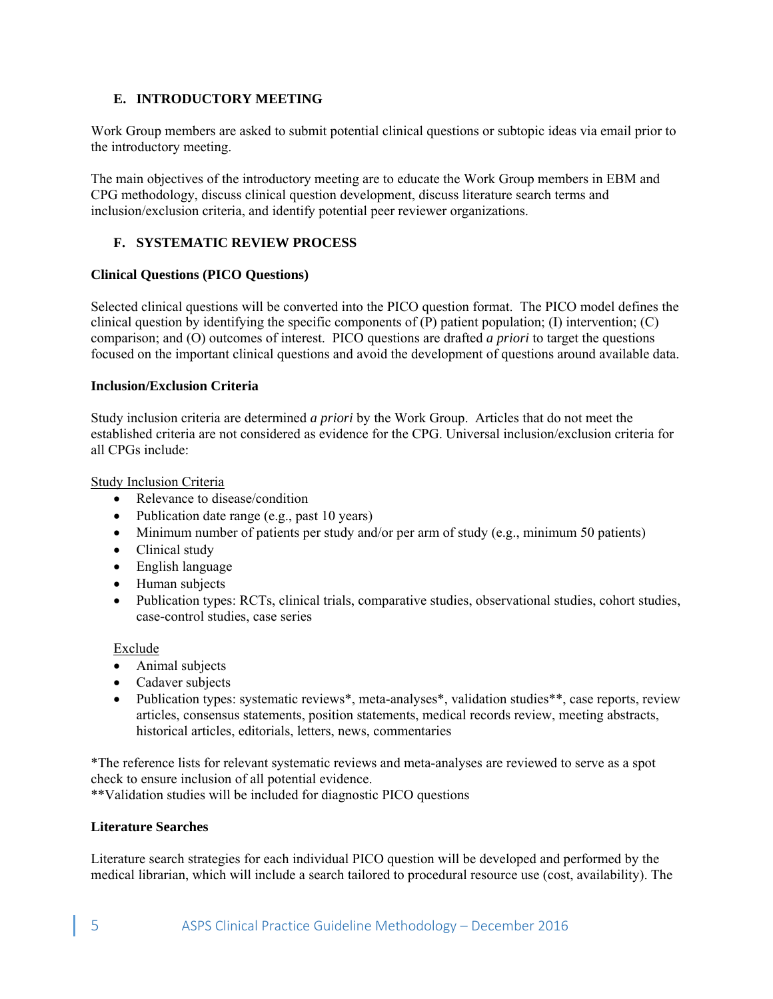### **E. INTRODUCTORY MEETING**

Work Group members are asked to submit potential clinical questions or subtopic ideas via email prior to the introductory meeting.

The main objectives of the introductory meeting are to educate the Work Group members in EBM and CPG methodology, discuss clinical question development, discuss literature search terms and inclusion/exclusion criteria, and identify potential peer reviewer organizations.

# **F. SYSTEMATIC REVIEW PROCESS**

#### **Clinical Questions (PICO Questions)**

Selected clinical questions will be converted into the PICO question format. The PICO model defines the clinical question by identifying the specific components of  $(\overline{P})$  patient population; (I) intervention; (C) comparison; and (O) outcomes of interest. PICO questions are drafted *a priori* to target the questions focused on the important clinical questions and avoid the development of questions around available data.

#### **Inclusion/Exclusion Criteria**

Study inclusion criteria are determined *a priori* by the Work Group. Articles that do not meet the established criteria are not considered as evidence for the CPG. Universal inclusion/exclusion criteria for all CPGs include:

Study Inclusion Criteria

- Relevance to disease/condition
- Publication date range (e.g., past 10 years)
- Minimum number of patients per study and/or per arm of study (e.g., minimum 50 patients)
- Clinical study
- English language
- Human subjects
- Publication types: RCTs, clinical trials, comparative studies, observational studies, cohort studies, case-control studies, case series

#### Exclude

- Animal subjects
- Cadaver subjects
- Publication types: systematic reviews\*, meta-analyses\*, validation studies\*\*, case reports, review articles, consensus statements, position statements, medical records review, meeting abstracts, historical articles, editorials, letters, news, commentaries

\*The reference lists for relevant systematic reviews and meta-analyses are reviewed to serve as a spot check to ensure inclusion of all potential evidence.

\*\*Validation studies will be included for diagnostic PICO questions

#### **Literature Searches**

Literature search strategies for each individual PICO question will be developed and performed by the medical librarian, which will include a search tailored to procedural resource use (cost, availability). The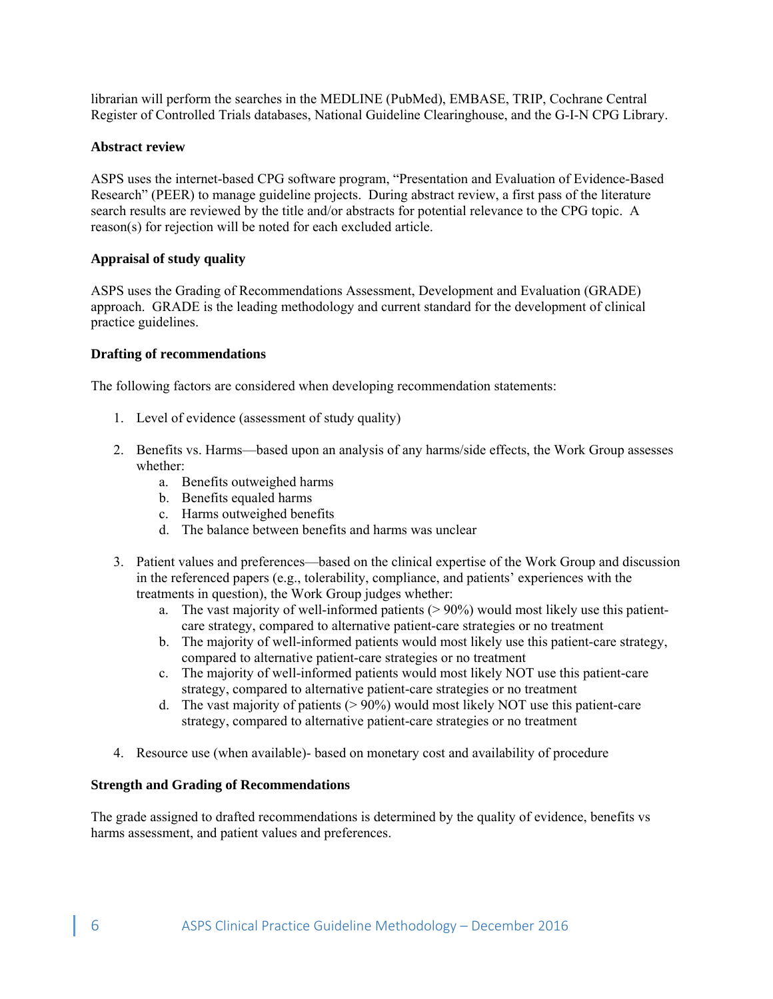librarian will perform the searches in the MEDLINE (PubMed), EMBASE, TRIP, Cochrane Central Register of Controlled Trials databases, National Guideline Clearinghouse, and the G-I-N CPG Library.

#### **Abstract review**

ASPS uses the internet-based CPG software program, "Presentation and Evaluation of Evidence-Based Research" (PEER) to manage guideline projects. During abstract review, a first pass of the literature search results are reviewed by the title and/or abstracts for potential relevance to the CPG topic. A reason(s) for rejection will be noted for each excluded article.

#### **Appraisal of study quality**

ASPS uses the Grading of Recommendations Assessment, Development and Evaluation (GRADE) approach. GRADE is the leading methodology and current standard for the development of clinical practice guidelines.

#### **Drafting of recommendations**

The following factors are considered when developing recommendation statements:

- 1. Level of evidence (assessment of study quality)
- 2. Benefits vs. Harms—based upon an analysis of any harms/side effects, the Work Group assesses whether:
	- a. Benefits outweighed harms
	- b. Benefits equaled harms
	- c. Harms outweighed benefits
	- d. The balance between benefits and harms was unclear
- 3. Patient values and preferences—based on the clinical expertise of the Work Group and discussion in the referenced papers (e.g., tolerability, compliance, and patients' experiences with the treatments in question), the Work Group judges whether:
	- a. The vast majority of well-informed patients (> 90%) would most likely use this patientcare strategy, compared to alternative patient-care strategies or no treatment
	- b. The majority of well-informed patients would most likely use this patient-care strategy, compared to alternative patient-care strategies or no treatment
	- c. The majority of well-informed patients would most likely NOT use this patient-care strategy, compared to alternative patient-care strategies or no treatment
	- d. The vast majority of patients  $(> 90\%)$  would most likely NOT use this patient-care strategy, compared to alternative patient-care strategies or no treatment
- 4. Resource use (when available)- based on monetary cost and availability of procedure

#### **Strength and Grading of Recommendations**

The grade assigned to drafted recommendations is determined by the quality of evidence, benefits vs harms assessment, and patient values and preferences.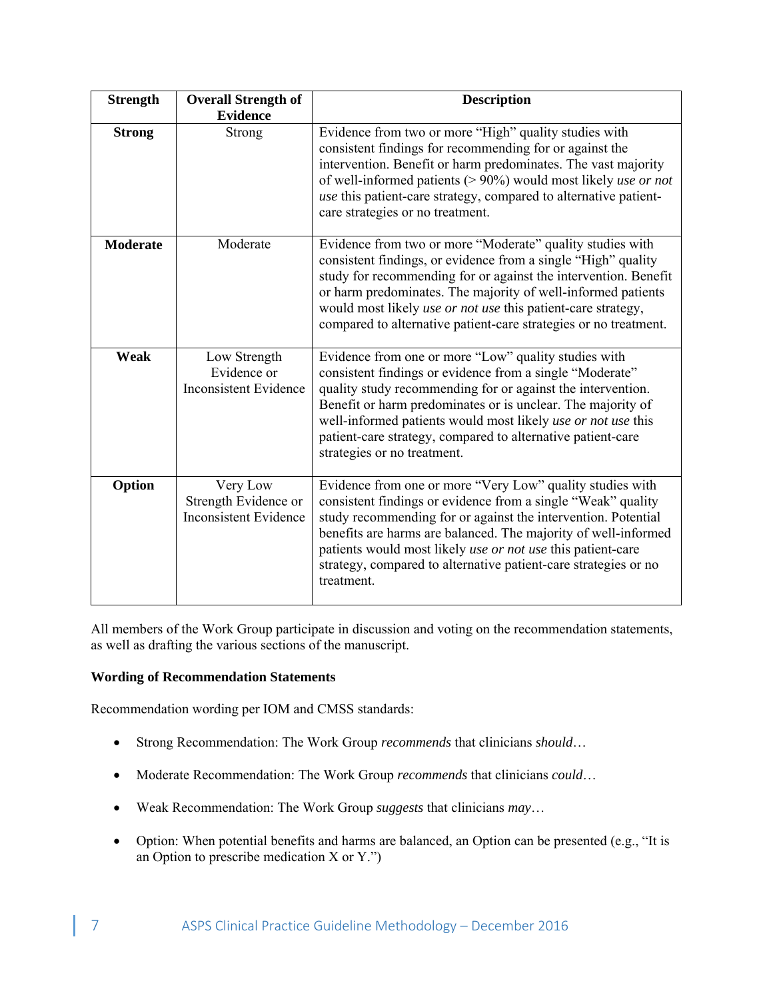| <b>Strength</b> | <b>Overall Strength of</b><br><b>Evidence</b>                    | <b>Description</b>                                                                                                                                                                                                                                                                                                                                                                                           |
|-----------------|------------------------------------------------------------------|--------------------------------------------------------------------------------------------------------------------------------------------------------------------------------------------------------------------------------------------------------------------------------------------------------------------------------------------------------------------------------------------------------------|
| <b>Strong</b>   | Strong                                                           | Evidence from two or more "High" quality studies with<br>consistent findings for recommending for or against the<br>intervention. Benefit or harm predominates. The vast majority<br>of well-informed patients (> 90%) would most likely use or not<br>use this patient-care strategy, compared to alternative patient-<br>care strategies or no treatment.                                                  |
| <b>Moderate</b> | Moderate                                                         | Evidence from two or more "Moderate" quality studies with<br>consistent findings, or evidence from a single "High" quality<br>study for recommending for or against the intervention. Benefit<br>or harm predominates. The majority of well-informed patients<br>would most likely use or not use this patient-care strategy,<br>compared to alternative patient-care strategies or no treatment.            |
| <b>Weak</b>     | Low Strength<br>Evidence or<br><b>Inconsistent Evidence</b>      | Evidence from one or more "Low" quality studies with<br>consistent findings or evidence from a single "Moderate"<br>quality study recommending for or against the intervention.<br>Benefit or harm predominates or is unclear. The majority of<br>well-informed patients would most likely use or not use this<br>patient-care strategy, compared to alternative patient-care<br>strategies or no treatment. |
| Option          | Very Low<br>Strength Evidence or<br><b>Inconsistent Evidence</b> | Evidence from one or more "Very Low" quality studies with<br>consistent findings or evidence from a single "Weak" quality<br>study recommending for or against the intervention. Potential<br>benefits are harms are balanced. The majority of well-informed<br>patients would most likely use or not use this patient-care<br>strategy, compared to alternative patient-care strategies or no<br>treatment. |

All members of the Work Group participate in discussion and voting on the recommendation statements, as well as drafting the various sections of the manuscript.

# **Wording of Recommendation Statements**

Recommendation wording per IOM and CMSS standards:

- Strong Recommendation: The Work Group *recommends* that clinicians *should*…
- Moderate Recommendation: The Work Group *recommends* that clinicians *could*…
- Weak Recommendation: The Work Group *suggests* that clinicians *may*…
- Option: When potential benefits and harms are balanced, an Option can be presented (e.g., "It is an Option to prescribe medication X or Y.")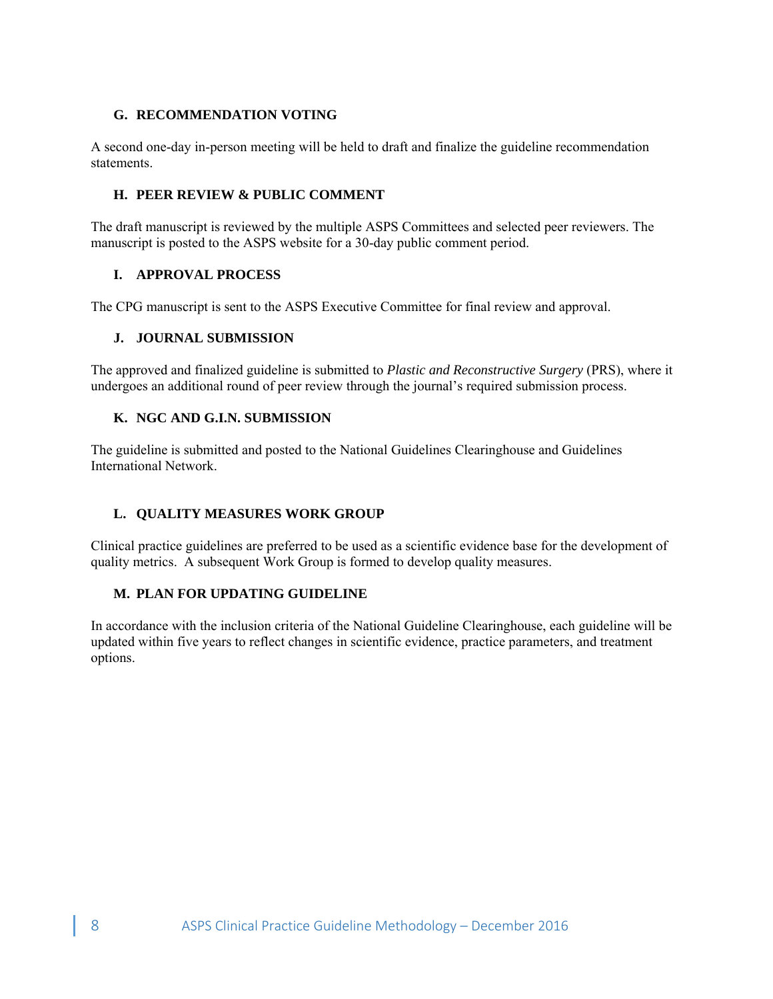# **G. RECOMMENDATION VOTING**

A second one-day in-person meeting will be held to draft and finalize the guideline recommendation statements.

# **H. PEER REVIEW & PUBLIC COMMENT**

The draft manuscript is reviewed by the multiple ASPS Committees and selected peer reviewers. The manuscript is posted to the ASPS website for a 30-day public comment period.

# **I. APPROVAL PROCESS**

The CPG manuscript is sent to the ASPS Executive Committee for final review and approval.

# **J. JOURNAL SUBMISSION**

The approved and finalized guideline is submitted to *Plastic and Reconstructive Surgery* (PRS), where it undergoes an additional round of peer review through the journal's required submission process.

# **K. NGC AND G.I.N. SUBMISSION**

The guideline is submitted and posted to the National Guidelines Clearinghouse and Guidelines International Network.

# **L. QUALITY MEASURES WORK GROUP**

Clinical practice guidelines are preferred to be used as a scientific evidence base for the development of quality metrics. A subsequent Work Group is formed to develop quality measures.

# **M. PLAN FOR UPDATING GUIDELINE**

In accordance with the inclusion criteria of the National Guideline Clearinghouse, each guideline will be updated within five years to reflect changes in scientific evidence, practice parameters, and treatment options.